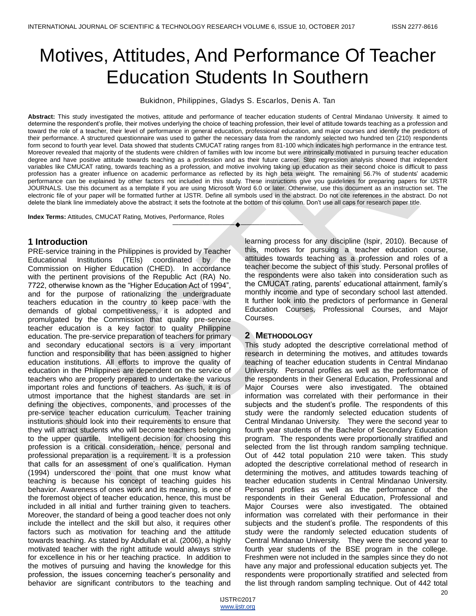# Motives, Attitudes, And Performance Of Teacher Education Students In Southern

Bukidnon, Philippines, Gladys S. Escarlos, Denis A. Tan

**Abstract:** This study investigated the motives, attitude and performance of teacher education students of Central Mindanao University. It aimed to determine the respondent's profile, their motives underlying the choice of teaching profession, their level of attitude towards teaching as a profession and toward the role of a teacher, their level of performance in general education, professional education, and major courses and identify the predictors of their performance. A structured questionnaire was used to gather the necessary data from the randomly selected two hundred ten (210) respondents form second to fourth year level. Data showed that students CMUCAT rating ranges from 81-100 which indicates high performance in the entrance test. Moreover revealed that majority of the students were children of families with low income but were intrinsically motivated in pursuing teacher education degree and have positive attitude towards teaching as a profession and as their future career. Step regression analysis showed that independent variables like CMUCAT rating, towards teaching as a profession, and motive involving taking up education as their second choice is difficult to pass profession has a greater influence on academic performance as reflected by its high beta weight. The remaining 56.7% of students' academic performance can be explained by other factors not included in this study. These instructions give you guidelines for preparing papers for IJSTR JOURNALS. Use this document as a template if you are using Microsoft Word 6.0 or later. Otherwise, use this document as an instruction set. The electronic file of your paper will be formatted further at IJSTR. Define all symbols used in the abstract. Do not cite references in the abstract. Do not delete the blank line immediately above the abstract; it sets the footnote at the bottom of this column. Don't use all caps for research paper title.

————————————————————

**Index Terms:** Attitudes, CMUCAT Rating, Motives, Performance, Roles

### **1 Introduction**

PRE-service training in the Philippines is provided by Teacher Educational Institutions (TEIs) coordinated by the Commission on Higher Education (CHED). In accordance with the pertinent provisions of the Republic Act (RA) No. 7722, otherwise known as the "Higher Education Act of 1994", and for the purpose of rationalizing the undergraduate teachers education in the country to keep pace with the demands of global competitiveness, it is adopted and promulgated by the Commission that quality pre-service teacher education is a key factor to quality Philippine education. The pre-service preparation of teachers for primary and secondary educational sectors is a very important function and responsibility that has been assigned to higher education institutions. All efforts to improve the quality of education in the Philippines are dependent on the service of teachers who are properly prepared to undertake the various important roles and functions of teachers. As such, it is of utmost importance that the highest standards are set in defining the objectives, components, and processes of the pre-service teacher education curriculum. Teacher training institutions should look into their requirements to ensure that they will attract students who will become teachers belonging to the upper quartile. Intelligent decision for choosing this profession is a critical consideration, hence, personal and professional preparation is a requirement. It is a profession that calls for an assessment of one's qualification. Hyman (1994) underscored the point that one must know what teaching is because his concept of teaching guides his behavior. Awareness of ones work and its meaning, is one of the foremost object of teacher education, hence, this must be included in all initial and further training given to teachers. Moreover, the standard of being a good teacher does not only include the intellect and the skill but also, it requires other factors such as motivation for teaching and the attitude towards teaching. As stated by Abdullah et al. (2006), a highly motivated teacher with the right attitude would always strive for excellence in his or her teaching practice. In addition to the motives of pursuing and having the knowledge for this profession, the issues concerning teacher's personality and behavior are significant contributors to the teaching and

learning process for any discipline (Ispir, 2010). Because of this, motives for pursuing a teacher education course, attitudes towards teaching as a profession and roles of a teacher become the subject of this study. Personal profiles of the respondents were also taken into consideration such as the CMUCAT rating, parents' educational attainment, family's monthly income and type of secondary school last attended. It further look into the predictors of performance in General Education Courses, Professional Courses, and Major Courses.

#### **2 METHODOLOGY**

This study adopted the descriptive correlational method of research in determining the motives, and attitudes towards teaching of teacher education students in Central Mindanao University. Personal profiles as well as the performance of the respondents in their General Education, Professional and Major Courses were also investigated. The obtained information was correlated with their performance in their subjects and the student's profile. The respondents of this study were the randomly selected education students of Central Mindanao University. They were the second year to fourth year students of the Bachelor of Secondary Education program. The respondents were proportionally stratified and selected from the list through random sampling technique. Out of 442 total population 210 were taken. This study adopted the descriptive correlational method of research in determining the motives, and attitudes towards teaching of teacher education students in Central Mindanao University. Personal profiles as well as the performance of the respondents in their General Education, Professional and Major Courses were also investigated. The obtained information was correlated with their performance in their subjects and the student's profile. The respondents of this study were the randomly selected education students of Central Mindanao University. They were the second year to fourth year students of the BSE program in the college. Freshmen were not included in the samples since they do not have any major and professional education subjects yet. The respondents were proportionally stratified and selected from the list through random sampling technique. Out of 442 total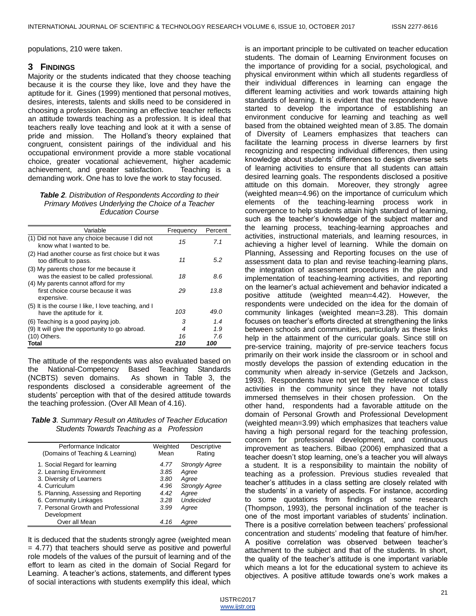populations, 210 were taken.

#### **3 FINDINGS**

Majority or the students indicated that they choose teaching because it is the course they like, love and they have the aptitude for it. Gines (1999) mentioned that personal motives, desires, interests, talents and skills need to be considered in choosing a profession. Becoming an effective teacher reflects an attitude towards teaching as a profession. It is ideal that teachers really love teaching and look at it with a sense of pride and mission. The Holland's theory explained that congruent, consistent pairings of the individual and his occupational environment provide a more stable vocational choice, greater vocational achievement, higher academic achievement, and greater satisfaction. Teaching is a demanding work. One has to love the work to stay focused.

#### *Table 2. Distribution of Respondents According to their Primary Motives Underlying the Choice of a Teacher Education Course*

| Variable                                                                                                                    | Frequency | Percent |
|-----------------------------------------------------------------------------------------------------------------------------|-----------|---------|
| (1) Did not have any choice because I did not<br>know what I wanted to be.                                                  | 15        | 7.1     |
| (2) Had another course as first choice but it was<br>too difficult to pass.                                                 | 11        | 5.2     |
| (3) My parents chose for me because it<br>was the easiest to be called professional.<br>(4) My parents cannot afford for my | 18        | 8.6     |
| first choice course because it was<br>expensive.                                                                            | 29        | 13.8    |
| (5) It is the course I like, I love teaching, and I<br>have the aptitude for it.                                            | 103       | 49.0    |
| (6) Teaching is a good paying job.                                                                                          | з         | 1.4     |
| (9) It will give the opportunity to go abroad.                                                                              | 4         | 1.9     |
| (10) Others.                                                                                                                | 16        | 7.6     |
| Total                                                                                                                       | 210       | 100     |

The attitude of the respondents was also evaluated based on the National-Competency Based Teaching Standards (NCBTS) seven domains. As shown in Table 3, the respondents disclosed a considerable agreement of the students' perception with that of the desired attitude towards the teaching profession. (Over All Mean of 4.16).

#### *Table 3. Summary Result on Attitudes of Teacher Education Students Towards Teaching as a Profession*

| Performance Indicator                | Weighted | Descriptive           |
|--------------------------------------|----------|-----------------------|
| (Domains of Teaching & Learning)     | Mean     | Rating                |
| 1. Social Regard for learning        | 4.77     | <b>Strongly Agree</b> |
| 2. Learning Environment              | 3.85     | Agree                 |
| 3. Diversity of Learners             | 3.80     | Agree                 |
| 4. Curriculum                        | 4.96     | <b>Strongly Agree</b> |
| 5. Planning, Assessing and Reporting | 4.42     | Agree                 |
| 6. Community Linkages                | 3.28     | <b>Undecided</b>      |
| 7. Personal Growth and Professional  | 3.99     | Agree                 |
| Development                          |          |                       |
| Over all Mean                        | 4.16     | Aaree                 |

It is deduced that the students strongly agree (weighted mean = 4.77) that teachers should serve as positive and powerful role models of the values of the pursuit of learning and of the effort to learn as cited in the domain of Social Regard for Learning. A teacher's actions, statements, and different types of social interactions with students exemplify this ideal, which is an important principle to be cultivated on teacher education students. The domain of Learning Environment focuses on the importance of providing for a social, psychological, and physical environment within which all students regardless of their individual differences in learning can engage the different learning activities and work towards attaining high standards of learning. It is evident that the respondents have started to develop the importance of establishing an environment conducive for learning and teaching as well based from the obtained weighted mean of 3.85. The domain of Diversity of Learners emphasizes that teachers can facilitate the learning process in diverse learners by first recognizing and respecting individual differences, then using knowledge about students' differences to design diverse sets of learning activities to ensure that all students can attain desired learning goals. The respondents disclosed a positive attitude on this domain. Moreover, they strongly agree (weighted mean=4.96) on the importance of curriculum which elements of the teaching-learning process work in convergence to help students attain high standard of learning, such as the teacher's knowledge of the subject matter and the learning process, teaching-learning approaches and activities, instructional materials, and learning resources, in achieving a higher level of learning. While the domain on Planning, Assessing and Reporting focuses on the use of assessment data to plan and revise teaching-learning plans, the integration of assessment procedures in the plan and implementation of teaching-learning activities, and reporting on the learner's actual achievement and behavior indicated a positive attitude (weighted mean=4.42). However, the respondents were undecided on the idea for the domain of community linkages (weighted mean=3.28). This domain focuses on teacher's efforts directed at strengthening the links between schools and communities, particularly as these links help in the attainment of the curricular goals. Since still on pre-service training, majority of pre-service teachers focus primarily on their work inside the classroom or in school and mostly develops the passion of extending education in the community when already in-service (Getzels and Jackson, 1993). Respondents have not yet felt the relevance of class activities in the community since they have not totally immersed themselves in their chosen profession. On the other hand, respondents had a favorable attitude on the domain of Personal Growth and Professional Development (weighted mean=3.99) which emphasizes that teachers value having a high personal regard for the teaching profession, concern for professional development, and continuous improvement as teachers. Bilbao (2006) emphasized that a teacher doesn't stop learning, one's a teacher you will always a student. It is a responsibility to maintain the nobility of teaching as a profession. Previous studies revealed that teacher's attitudes in a class setting are closely related with the students' in a variety of aspects. For instance, according to some quotations from findings of some research (Thompson, 1993), the personal inclination of the teacher is one of the most important variables of students' inclination. There is a positive correlation between teachers' professional concentration and students' modeling that feature of him/her. A positive correlation was observed between teacher's attachment to the subject and that of the students. In short, the quality of the teacher's attitude is one important variable which means a lot for the educational system to achieve its objectives. A positive attitude towards one's work makes a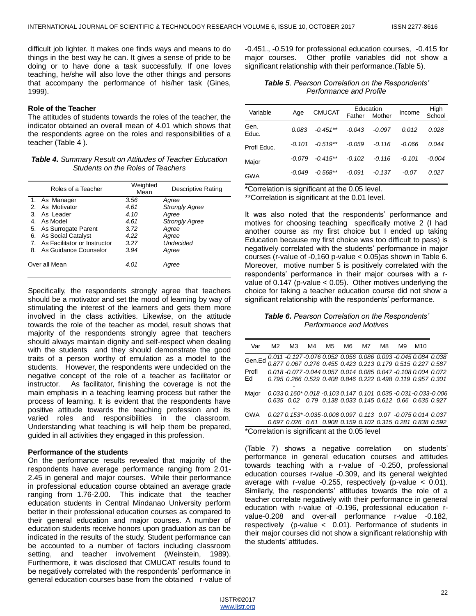difficult job lighter. It makes one finds ways and means to do things in the best way he can. It gives a sense of pride to be doing or to have done a task successfully. If one loves teaching, he/she will also love the other things and persons that accompany the performance of his/her task (Gines, 1999).

#### **Role of the Teacher**

The attitudes of students towards the roles of the teacher, the indicator obtained an overall mean of 4.01 which shows that the respondents agree on the roles and responsibilities of a teacher (Table 4 ).

*Table 4. Summary Result on Attitudes of Teacher Education Students on the Roles of Teachers*

| Roles of a Teacher              | Weighted<br>Mean | Descriptive Rating    |
|---------------------------------|------------------|-----------------------|
| 1. As Manager                   | 3.56             | Agree                 |
| 2. As Motivator                 | 4.61             | <b>Strongly Agree</b> |
| 3. As Leader                    | 4.10             | Agree                 |
| 4 As Model                      | 4.61             | <b>Strongly Agree</b> |
| 5. As Surrogate Parent          | 3.72             | Agree                 |
| 6. As Social Catalyst           | 4.22             | Agree                 |
| 7. As Facilitator or Instructor | 3.27             | <b>Undecided</b>      |
| 8. As Guidance Counselor        | 3.94             | Agree                 |
| Over all Mean                   | 4.01             | Agree                 |

Specifically, the respondents strongly agree that teachers should be a motivator and set the mood of learning by way of stimulating the interest of the learners and gets them more involved in the class activities. Likewise, on the attitude towards the role of the teacher as model, result shows that majority of the respondents strongly agree that teachers should always maintain dignity and self-respect when dealing with the students and they should demonstrate the good traits of a person worthy of emulation as a model to the students. However, the respondents were undecided on the negative concept of the role of a teacher as facilitator or instructor. As facilitator, finishing the coverage is not the main emphasis in a teaching learning process but rather the process of learning. It is evident that the respondents have positive attitude towards the teaching profession and its varied roles and responsibilities in the classroom. Understanding what teaching is will help them be prepared, guided in all activities they engaged in this profession.

#### **Performance of the students**

On the performance results revealed that majority of the respondents have average performance ranging from 2.01- 2.45 in general and major courses. While their performance in professional education course obtained an average grade ranging from 1.76-2.00. This indicate that the teacher education students in Central Mindanao University perform better in their professional education courses as compared to their general education and major courses. A number of education students receive honors upon graduation as can be indicated in the results of the study. Student performance can be accounted to a number of factors including classroom setting, and teacher involvement (Weinstein, 1989). Furthermore, it was disclosed that CMUCAT results found to be negatively correlated with the respondents' performance in general education courses base from the obtained r-value of -0.451., -0.519 for professional education courses, -0.415 for major courses. Other profile variables did not show a significant relationship with their performance.(Table 5).

#### *Table 5. Pearson Correlation on the Respondents' Performance and Profile*

| Variable      | Age      | <b>CMUCAT</b> | Father   | Education<br>Mother | Income   | High<br>School |
|---------------|----------|---------------|----------|---------------------|----------|----------------|
| Gen.<br>Educ. | 0.083    | $-0.451**$    | $-0.043$ | $-0.097$            | 0.012    | 0.028          |
| Profl Educ.   | $-0.101$ | $-0.519**$    | $-0.059$ | $-0.116$            | $-0.066$ | 0.044          |
| Major         | $-0.079$ | $-0.415**$    | $-0.102$ | $-0.116$            | $-0.101$ | -0.004         |
| <b>GWA</b>    | $-0.049$ | $-0.568**$    | $-0.091$ | -0.137              | -0.07    | 0.027          |

\*Correlation is significant at the 0.05 level.

\*\*Correlation is significant at the 0.01 level.

It was also noted that the respondents' performance and motives for choosing teaching specifically motive 2 (I had another course as my first choice but I ended up taking Education because my first choice was too difficult to pass) is negatively correlated with the students' performance in major courses (r-value of -0,160 p-value < 0.05)as shown in Table 6. Moreover, motive number 5 is positively correlated with the respondents' performance in their major courses with a rvalue of 0.147 (p-value < 0.05). Other motives underlying the choice for taking a teacher education course did not show a significant relationship with the respondents' performance.

*Table 6. Pearson Correlation on the Respondents' Performance and Motives*

| Var                                           | M2. | M3 | M4 M5 |  |  | M6 M7 | M8. | M9                                                                                                                            | M10 |  |
|-----------------------------------------------|-----|----|-------|--|--|-------|-----|-------------------------------------------------------------------------------------------------------------------------------|-----|--|
| Gen.Ed                                        |     |    |       |  |  |       |     | 0.011 -0.127 -0.076 0.052 0.056 0.086 0.093 -0.045 0.084 0.038<br>0.877 0.067 0.276 0.455 0.423 0.213 0.179 0.515 0.227 0.587 |     |  |
|                                               |     |    |       |  |  |       |     |                                                                                                                               |     |  |
| Profl                                         |     |    |       |  |  |       |     | 0.018 -0.077 -0.044 0.057 0.014 0.085 0.047 -0.108 0.004 0.072                                                                |     |  |
| Ed                                            |     |    |       |  |  |       |     | 0.795 0.266 0.529 0.408 0.846 0.222 0.498 0.119 0.957 0.301                                                                   |     |  |
|                                               |     |    |       |  |  |       |     |                                                                                                                               |     |  |
| Major                                         |     |    |       |  |  |       |     | 0.033 0.160* 0.018 -0.103 0.147 0.101 0.035 -0.031 -0.033 -0.006                                                              |     |  |
|                                               |     |    |       |  |  |       |     | 0.635 0.02 0.79 0.138 0.033 0.145 0.612 0.66 0.635 0.927                                                                      |     |  |
|                                               |     |    |       |  |  |       |     |                                                                                                                               |     |  |
| <b>GWA</b>                                    |     |    |       |  |  |       |     | 0.027 0.153*-0.035-0.008 0.097 0.113 0.07 -0.075 0.014 0.037                                                                  |     |  |
|                                               |     |    |       |  |  |       |     | 0.697 0.026 0.61 0.908 0.159 0.102 0.315 0.281 0.838 0.592                                                                    |     |  |
| *Correlation is significant at the 0.05 level |     |    |       |  |  |       |     |                                                                                                                               |     |  |

(Table 7) shows a negative correlation on students' performance in general education courses and attitudes towards teaching with a r-value of -0.250, professional education courses r-value -0.309, and its general weighted average with r-value -0.255, respectively (p-value < 0.01). Similarly, the respondents' attitudes towards the role of a teacher correlate negatively with their performance in general education with r-value of -0.196, professional education rvalue-0.208 and over-all performance r-value -0.182, respectively (p-value < 0.01). Performance of students in their major courses did not show a significant relationship with the students' attitudes.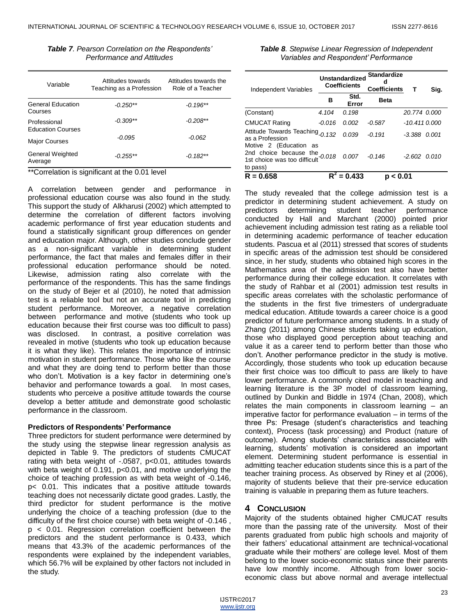| Table 7. Pearson Correlation on the Respondents' |
|--------------------------------------------------|
| Performance and Attitudes                        |

| Variable                                 | Attitudes towards<br>Teaching as a Profession | Attitudes towards the<br>Role of a Teacher |
|------------------------------------------|-----------------------------------------------|--------------------------------------------|
| <b>General Education</b><br>Courses      | $-0.250**$                                    | $-0.196**$                                 |
| Professional<br><b>Education Courses</b> | $-0.309**$                                    | $-0.208**$                                 |
| <b>Major Courses</b>                     | $-0.095$                                      | $-0.062$                                   |
| General Weighted<br>Average              | $-0.255**$                                    | $-0.182**$                                 |

\*\*Correlation is significant at the 0.01 level

A correlation between gender and performance in professional education course was also found in the study. This support the study of Alkharusi (2002) which attempted to determine the correlation of different factors involving academic performance of first year education students and found a statistically significant group differences on gender and education major. Although, other studies conclude gender as a non-significant variable in determining student performance, the fact that males and females differ in their professional education performance should be noted. Likewise, admission rating also correlate with the performance of the respondents. This has the same findings on the study of Bejer et al (2010), he noted that admission test is a reliable tool but not an accurate tool in predicting student performance. Moreover, a negative correlation between performance and motive (students who took up education because their first course was too difficult to pass) was disclosed. In contrast, a positive correlation was revealed in motive (students who took up education because it is what they like). This relates the importance of intrinsic motivation in student performance. Those who like the course and what they are doing tend to perform better than those who don't. Motivation is a key factor in determining one's behavior and performance towards a goal. In most cases, students who perceive a positive attitude towards the course develop a better attitude and demonstrate good scholastic performance in the classroom.

#### **Predictors of Respondents' Performance**

Three predictors for student performance were determined by the study using the stepwise linear regression analysis as depicted in Table 9. The predictors of students CMUCAT rating with beta weight of -.0587, p<0.01, attitudes towards with beta weight of 0.191, p<0.01, and motive underlying the choice of teaching profession as with beta weight of -0.146, p< 0.01. This indicates that a positive attitude towards teaching does not necessarily dictate good grades. Lastly, the third predictor for student performance is the motive underlying the choice of a teaching profession (due to the difficulty of the first choice course) with beta weight of -0.146 , p < 0.01. Regression correlation coefficient between the predictors and the student performance is 0.433, which means that 43.3% of the academic performances of the respondents were explained by the independent variables, which 56.7% will be explained by other factors not included in the study.

| Table 8. Stepwise Linear Regression of Independent |
|----------------------------------------------------|
| Variables and Respondent' Performance              |

| <b>Independent Variables</b>                                                                          | <b>Unstandardized</b><br><b>Coefficients</b> |               | <b>Standardize</b><br>d<br><b>Coefficients</b> | т                | Sig.  |
|-------------------------------------------------------------------------------------------------------|----------------------------------------------|---------------|------------------------------------------------|------------------|-------|
|                                                                                                       | в                                            | Std.<br>Error | <b>Beta</b>                                    |                  |       |
| (Constant)                                                                                            | 4.104                                        | 0.198         |                                                | 20.774 0.000     |       |
| <b>CMUCAT Rating</b>                                                                                  | $-0.016$                                     | 0.002         | $-0.587$                                       | -10.411 0.000    |       |
| Attitude Towards Teaching <sub>-0,132</sub><br>as a Profession                                        |                                              | 0.039         | $-0.191$                                       | -3.388           | 0.001 |
| Motive 2 (Education as<br>2nd choice because the $-0.018$<br>1st choice was too difficult<br>to pass) |                                              | 0.007         | $-0.146$                                       | $-2.602$ $0.010$ |       |
| $R = 0.658$                                                                                           |                                              | $= 0.433$     | < 0.01<br>Ŋ                                    |                  |       |

The study revealed that the college admission test is a predictor in determining student achievement. A study on predictors determining student teacher performance conducted by Hall and Marchant (2000) pointed prior achievement including admission test rating as a reliable tool in determining academic performance of teacher education students. Pascua et al (2011) stressed that scores of students in specific areas of the admission test should be considered since, in her study, students who obtained high scores in the Mathematics area of the admission test also have better performance during their college education. It correlates with the study of Rahbar et al (2001) admission test results in specific areas correlates with the scholastic performance of the students in the first five trimesters of undergraduate medical education. Attitude towards a career choice is a good predictor of future performance among students. In a study of Zhang (2011) among Chinese students taking up education, those who displayed good perception about teaching and value it as a career tend to perform better than those who don't. Another performance predictor in the study is motive. Accordingly, those students who took up education because their first choice was too difficult to pass are likely to have lower performance. A commonly cited model in teaching and learning literature is the 3P model of classroom learning, outlined by Dunkin and Biddle in 1974 (Chan, 2008), which relates the main components in classroom learning – an imperative factor for performance evaluation – in terms of the three Ps: Presage (student's characteristics and teaching context), Process (task processing) and Product (nature of outcome). Among students' characteristics associated with learning, students' motivation is considered an important element. Determining student performance is essential in admitting teacher education students since this is a part of the teacher training process. As observed by Riney et al (2006), majority of students believe that their pre-service education training is valuable in preparing them as future teachers.

#### **4 CONCLUSION**

Majority of the students obtained higher CMUCAT results more than the passing rate of the university. Most of their parents graduated from public high schools and majority of their fathers' educational attainment are technical-vocational graduate while their mothers' are college level. Most of them belong to the lower socio-economic status since their parents have low monthly income. Although from lower socioeconomic class but above normal and average intellectual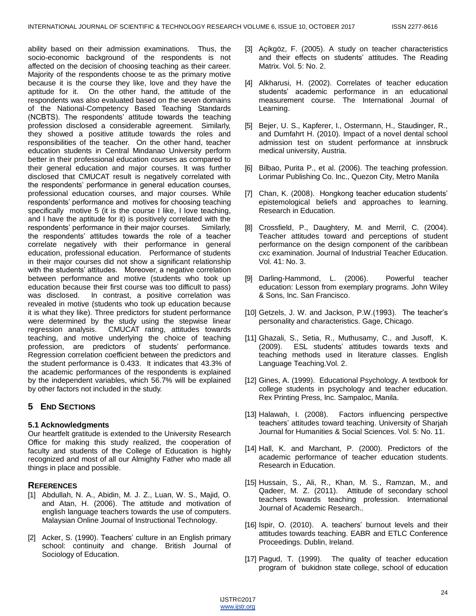ability based on their admission examinations. Thus, the socio-economic background of the respondents is not affected on the decision of choosing teaching as their career. Majority of the respondents choose te as the primary motive because it is the course they like, love and they have the aptitude for it. On the other hand, the attitude of the respondents was also evaluated based on the seven domains of the National-Competency Based Teaching Standards (NCBTS). The respondents' attitude towards the teaching profession disclosed a considerable agreement. Similarly, they showed a positive attitude towards the roles and responsibilities of the teacher. On the other hand, teacher education students in Central Mindanao University perform better in their professional education courses as compared to their general education and major courses. It was further disclosed that CMUCAT result is negatively correlated with the respondents' performance in general education courses, professional education courses, and major courses. While respondents' performance and motives for choosing teaching specifically motive 5 (it is the course I like, I love teaching, and I have the aptitude for it) is positively correlated with the respondents' performance in their major courses. Similarly, the respondents' attitudes towards the role of a teacher correlate negatively with their performance in general education, professional education. Performance of students in their major courses did not show a significant relationship with the students' attitudes. Moreover, a negative correlation between performance and motive (students who took up education because their first course was too difficult to pass) was disclosed. In contrast, a positive correlation was revealed in motive (students who took up education because it is what they like). Three predictors for student performance were determined by the study using the stepwise linear regression analysis. CMUCAT rating, attitudes towards teaching, and motive underlying the choice of teaching profession, are predictors of students' performance. Regression correlation coefficient between the predictors and the student performance is 0.433. It indicates that 43.3% of the academic performances of the respondents is explained by the independent variables, which 56.7% will be explained by other factors not included in the study.

# **5 END SECTIONS**

# **5.1 Acknowledgments**

Our heartfelt gratitude is extended to the University Research Office for making this study realized, the cooperation of faculty and students of the College of Education is highly recognized and most of all our Almighty Father who made all things in place and possible.

# **REFERENCES**

- [1] Abdullah, N. A., Abidin, M. J. Z., Luan, W. S., Majid, O. and Atan, H. (2006). The attitude and motivation of english language teachers towards the use of computers. Malaysian Online Journal of Instructional Technology.
- [2] Acker, S. (1990). Teachers' culture in an English primary school: continuity and change. British Journal of Sociology of Education.
- [3] Açikgöz, F. (2005). A study on teacher characteristics and their effects on students' attitudes. The Reading Matrix. Vol. 5: No. 2.
- [4] Alkharusi, H. (2002). Correlates of teacher education students' academic performance in an educational measurement course. The International Journal of Learning.
- [5] Bejer, U. S., Kapferer, I., Ostermann, H., Staudinger, R., and Dumfahrt H. (2010). Impact of a novel dental school admission test on student performance at innsbruck medical university, Austria.
- [6] Bilbao, Purita P., et al. (2006). The teaching profession. Lorimar Publishing Co. Inc., Quezon City, Metro Manila
- [7] Chan, K. (2008). Hongkong teacher education students' epistemological beliefs and approaches to learning. Research in Education.
- [8] Crossfield, P., Daughtery, M. and Merril, C. (2004). Teacher attitudes toward and perceptions of student performance on the design component of the caribbean cxc examination. Journal of Industrial Teacher Education. Vol. 41: No. 3.
- [9] Darling-Hammond, L. (2006). Powerful teacher education: Lesson from exemplary programs. John Wiley & Sons, Inc. San Francisco.
- [10] Getzels, J. W. and Jackson, P.W.(1993). The teacher's personality and characteristics. Gage, Chicago.
- [11] Ghazali, S., Setia, R., Muthusamy, C., and Jusoff, K. (2009). ESL students' attitudes towards texts and teaching methods used in literature classes. English Language Teaching.Vol. 2.
- [12] Gines, A. (1999). Educational Psychology. A textbook for college students in psychology and teacher education. Rex Printing Press, Inc. Sampaloc, Manila.
- [13] Halawah, I. (2008). Factors influencing perspective teachers' attitudes toward teaching. University of Sharjah Journal for Humanities & Social Sciences. Vol. 5: No. 11.
- [14] Hall, K. and Marchant, P. (2000). Predictors of the academic performance of teacher education students. Research in Education.
- [15] Hussain, S., Ali, R., Khan, M. S., Ramzan, M., and Qadeer, M. Z. (2011). Attitude of secondary school teachers towards teaching profession. International Journal of Academic Research..
- [16] Ispir, O. (2010). A. teachers' burnout levels and their attitudes towards teaching. EABR and ETLC Conference Proceedings. Dublin, Ireland.
- [17] Pagud, T. (1999). The quality of teacher education program of bukidnon state college, school of education